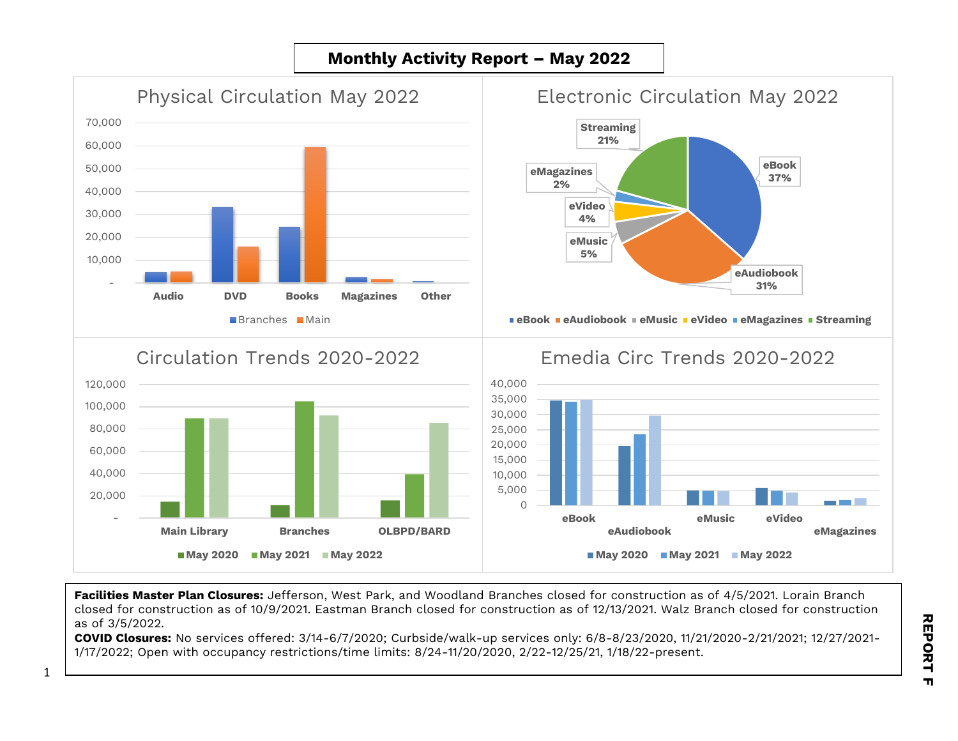## **Monthly Activity Report – May 2022**



**Facilities Master Plan Closures:** Jefferson, West Park, and Woodland Branches closed for construction as of 4/5/2021. Lorain Branch closed for construction as of 10/9/2021. Eastman Branch closed for construction as of 12/13/2021. Walz Branch closed for construction as of 3/5/2022.

**COVID Closures:** No services offered: 3/14-6/7/2020; Curbside/walk-up services only: 6/8-8/23/2020, 11/21/2020-2/21/2021; 12/27/2021- 1/17/2022; Open with occupancy restrictions/time limits: 8/24-11/20/2020, 2/22-12/25/21, 1/18/22-present.

1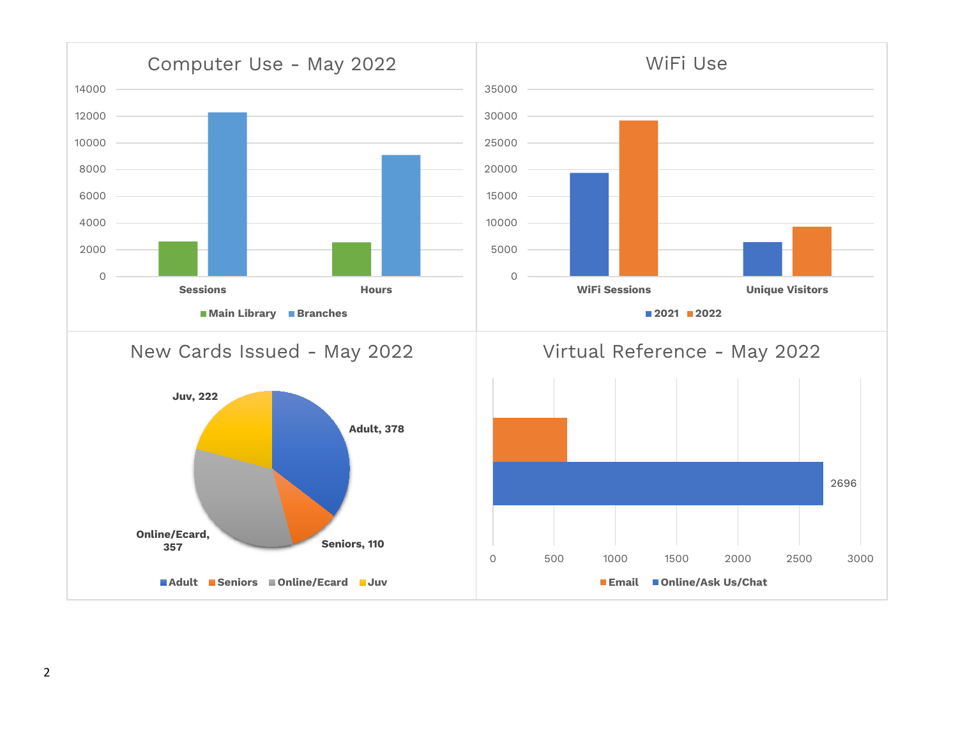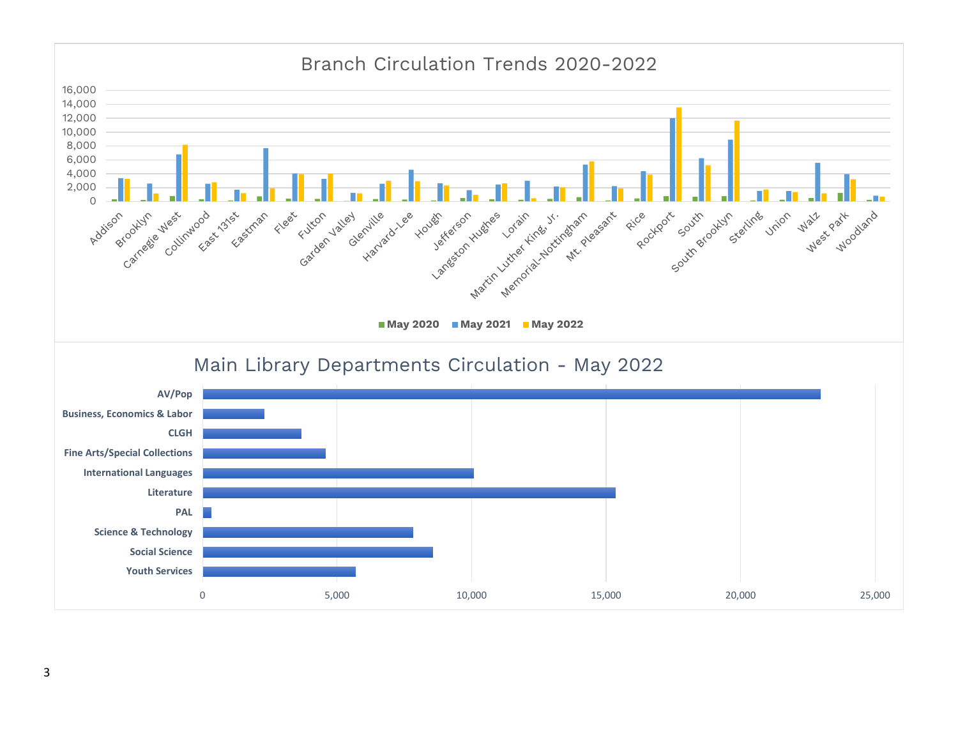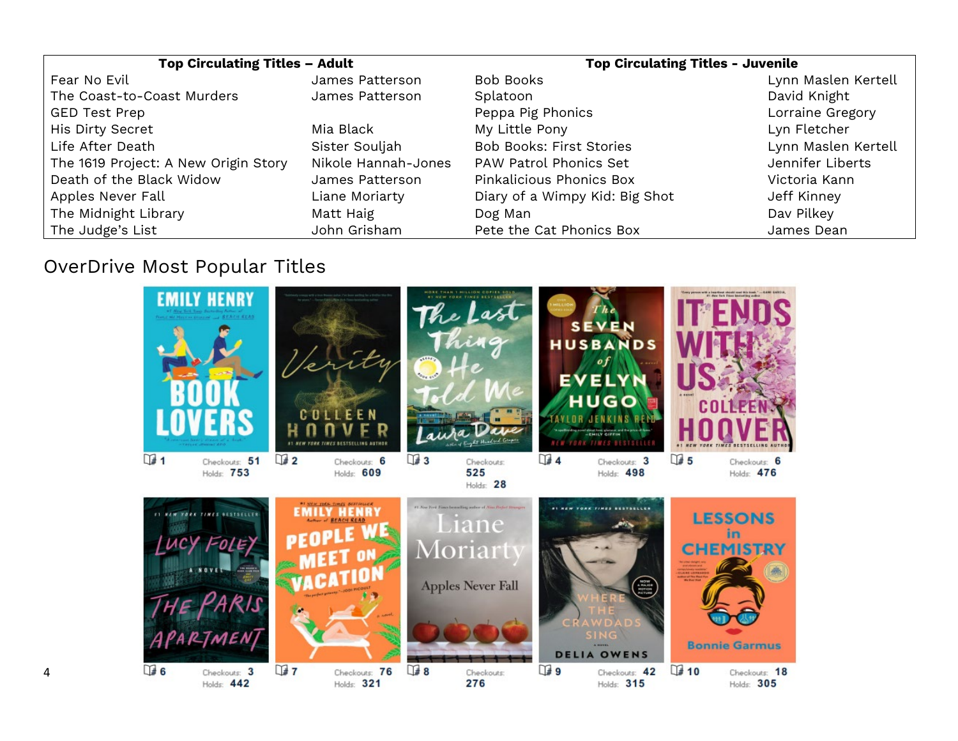| <b>Top Circulating Titles - Adult</b> |                     | <b>Top Circulating Titles - Juvenile</b> |                     |
|---------------------------------------|---------------------|------------------------------------------|---------------------|
| Fear No Evil                          | James Patterson     | Bob Books                                | Lynn Maslen Kertell |
| The Coast-to-Coast Murders            | James Patterson     | Splatoon                                 | David Knight        |
| <b>GED Test Prep</b>                  |                     | Peppa Pig Phonics                        | Lorraine Gregory    |
| His Dirty Secret                      | Mia Black           | My Little Pony                           | Lyn Fletcher        |
| Life After Death                      | Sister Souljah      | <b>Bob Books: First Stories</b>          | Lynn Maslen Kertell |
| The 1619 Project: A New Origin Story  | Nikole Hannah-Jones | PAW Patrol Phonics Set                   | Jennifer Liberts    |
| Death of the Black Widow              | James Patterson     | Pinkalicious Phonics Box                 | Victoria Kann       |
| Apples Never Fall                     | Liane Moriarty      | Diary of a Wimpy Kid: Big Shot           | Jeff Kinney         |
| The Midnight Library                  | Matt Haig           | Dog Man                                  | Dav Pilkey          |
| The Judge's List                      | John Grisham        | Pete the Cat Phonics Box                 | James Dean          |

## OverDrive Most Popular Titles

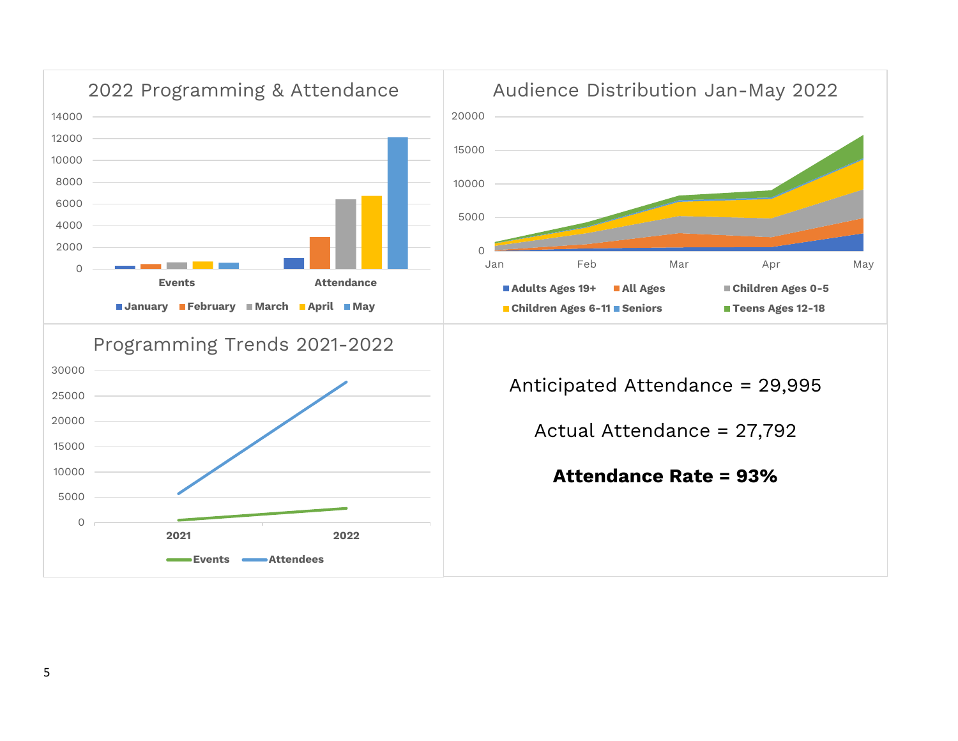